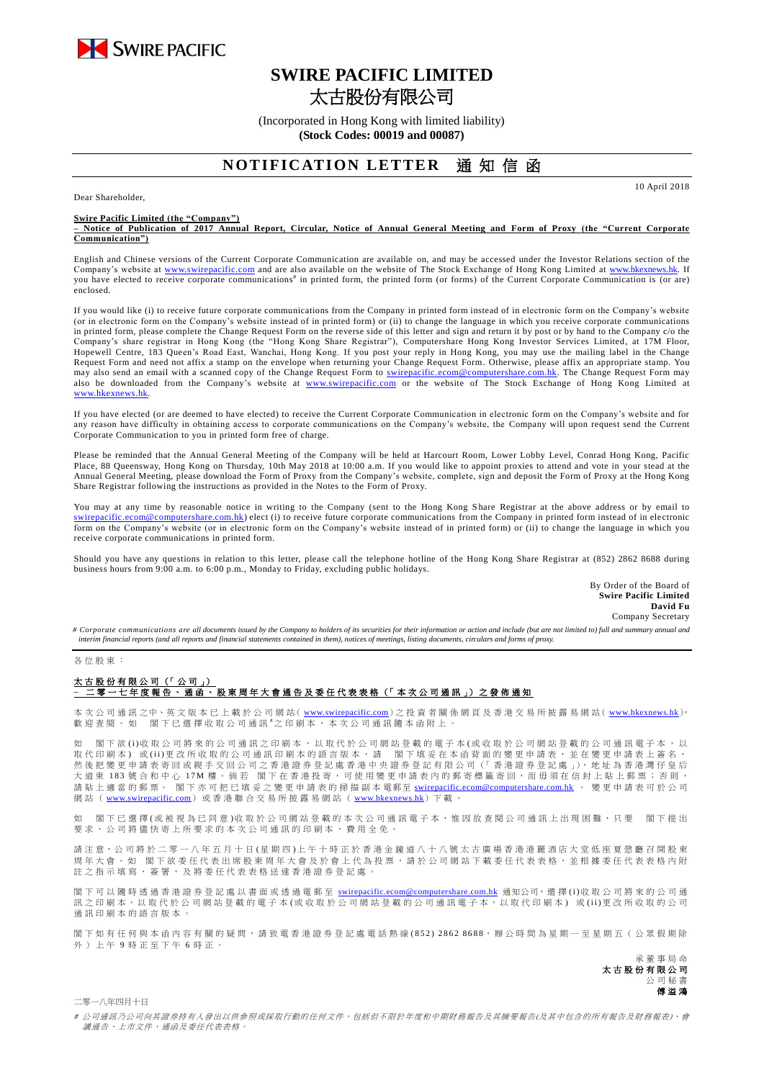

# **SWIRE PACIFIC LIMITED** 太古股份有限公司

(Incorporated in Hong Kong with limited liability) **(Stock Codes: 00019 and 00087)**

## **NOTIFICATION LETTER** 诵 知 信 函

Dear Shareholder,

**Swire Pacific Limited (the "Company")**

**– Notice of Publication of 2017 Annual Report, Circular, Notice of Annual General Meeting and Form of Proxy (the "Current Corporate Communication")**

English and Chinese versions of the Current Corporate Communication are available on, and may be accessed under the Investor Relations section of the Company's website at [www.swirepacific.com](http://www.swirepacific.com/) and are also available on the website of The Stock Exchange of Hong Kong Limited at [www.hkexnews.hk.](http://www.hkexnews.hk/) If you have elected to receive corporate communications<sup>#</sup> in printed form, the printed form (or forms) of the Current Corporate Communication is (or are) enclosed.

If you would like (i) to receive future corporate communications from the Company in printed form instead of in electronic form on the Company's website (or in electronic form on the Company's website instead of in printed form) or (ii) to change the language in which you receive corporate communications in printed form, please complete the Change Request Form on the reverse side of this letter and sign and return it by post or by hand to the Company c/o the Company's share registrar in Hong Kong (the "Hong Kong Share Registrar"), Computershare Hong Kong Investor Services Limited, at 17M Floor, Hopewell Centre, 183 Queen's Road East, Wanchai, Hong Kong. If you post your reply in Hong Kong, you may use the mailing label in the Change Request Form and need not affix a stamp on the envelope when returning your Change Request Form. Otherwise, please affix an appropriate stamp. You may also send an email with a scanned copy of the Change Request Form to *swirepacific.ecom@computershare.com.hk*. The Change Request Form may also be downloaded from the Company's website at [www.swirepacific.com](http://www.swirepacific.com/) or the website of The Stock Exchange of Hong Kong Limited at [www.hkexnews.hk.](http://www.hkexnews.hk/)

If you have elected (or are deemed to have elected) to receive the Current Corporate Communication in electronic form on the Company's website and for any reason have difficulty in obtaining access to corporate communications on the Company's website, the Company will upon request send the Current Corporate Communication to you in printed form free of charge.

Please be reminded that the Annual General Meeting of the Company will be held at Harcourt Room, Lower Lobby Level, Conrad Hong Kong, Pacific Place, 88 Queensway, Hong Kong on Thursday, 10th May 2018 at 10:00 a.m. If you would like to appoint proxies to attend and vote in your stead at the Annual General Meeting, please download the Form of Proxy from the Company's website, complete, sign and deposit the Form of Proxy at the Hong Kong Share Registrar following the instructions as provided in the Notes to the Form of Proxy.

You may at any time by reasonable notice in writing to the Company (sent to the Hong Kong Share Registrar at the above address or by email to tershare.com.hk) elect (i) to receive future corporate communications from the Company in printed form instead of in electronic form on the Company's website (or in electronic form on the Company's website instead of in printed form) or (ii) to change the language in which you receive corporate communications in printed form.

Should you have any questions in relation to this letter, please call the telephone hotline of the Hong Kong Share Registrar at (852) 2862 8688 during business hours from 9:00 a.m. to 6:00 p.m., Monday to Friday, excluding public holidays.

> By Order of the Board of **Swire Pacific Limited David Fu** Company Secretary

10 April 2018

# Corporate communications are all documents issued by the Company to holders of its securities for their information or action and include (but are not limited to) full and summary annual and *interim financial reports (and all reports and financial statements contained in them), notices of meetings, listing documents, circulars and forms of proxy.*

#### 各 位 股 東 :

### 太古股份有限公司 (「公司」) –<br><sup>二</sup>零 一 七 年 度 報 告 丶 通 函 丶 股 東 周 年 大 會 通 告 及 委 任 代 表 表 格(「 本 次 公 司 通 訊 」)之 發 佈 通 知

本 次 公 司 通 訊 之中、英 文 版 本 已 上 載 於 公 司 網 站( [www.swirepacific.com](http://www.swirepacific.com/)) 之 投 資 者 關 係 網 頁 及 香 港 交 易 所 披 露 易 網 站( [www.hkexnews.hk](http://www.hkexnews.hk/)), 歡 迎 查 閱 。 如 閣 下 已 選 擇 收 取 公 司 通 訊 <sup>#</sup>之 印 刷 本 , 本 次 公 司 通 訊 隨 本 函 附 上 。

如 閣下欲 (i)收 取 公 司將 來 的 公 司 通 訊 之 印 刷 本 , 以 取 代 於 公 司 網 的 看 子 本 (或 收 取 於 公 司 網 站 登 載 的 公 司 通 訊 電 子 本 , 以 取代印刷本)或(ii)更改所收取的公司通訊印刷本的語言版本,請 閣下填妥在本函背面的變更申請表,並在變更申請表上簽名, 然後 把 變 更 申 請 表 寄 回 或 親 手 交 回 公 司 之 香 港 證 券 登 記 處 香 港 中 央 證 券 登 記 有 限 公 司 (「 香 港 證 券 登 記 處 」), 地 址 為 香 港 灣 仔 皇 后 大 道 東 183 號 合 和 中 心 17M 樓。 倘 若 閣 下 在 香 港 投 寄 , 可 使 用 變 更 申 請 表 内 的 郵 寄 標 籤 寄 回 , 而 毋 須 在 信 封 上 貼 上 郵 票 ; 否 則 , 請 貼 上 適 當 的 郵 票。 閣下亦可把已填妥之變更申請表的掃描副本 電郵至 [swirepacific.ecom@computershare.com.hk](mailto:swirepacific.ecom@computershare.com.hk) 。 變 更 申請表可於 公 司 網站 ( [www.swirepacific.com](http://www.swirepacific.com/)) 或香港聯合交易所披露易網站 ( [www.hkexnews.hk](http://www.hkexnews.hk/)) 下載。

如 閣 下已 邏 擇( 或 被 視 為 已 同 音 )收 取 於 公 司 綑 站 登 載 的 本 次 引 诵 訊 雷 子 本 , 惟 因 故 杏 関 公 司 诵 訊 上 出 現 困 難 , 只 要 一 閣 下 提 出 要求, 公司將儘 快 寄 上 所 要 求 的 本 次 公 司 通 訊 的 印 刷 本 , 費 用 全 免 。

請注意,公司將於二零一八年五月十日(星期四)上午十時正於香港金鐘道八十八號太古廣場香港港麗酒店大堂低座夏愨廳召開股東 周年大會。如 閣下欲委任代表出席股東周年大會及於會上代為投票,請於公司網站下載委任代表表格,並根據委任代表表格內附 註之指示填寫、簽署,及將委任代表表格送達香港證券登記處

閣下可以 隨時 透 過 香 港 證 券 登 記 處 以 書 面 或 透 過 電 郵 至 [swirepacific.ecom@computershare.com.hk](mailto:swirepacific.ecom@computershare.com.hk) 通知公司, 選 擇 (i)收 取 公 司 將 來 的 公 司 通 訊之 印 刷 本, 以 取 代 於 公 司 網 站 登 載 的 電 子 本 ( 或 收 取 於 公 司 網 站 登 載 的 公 司 通 訊 電 子 本, 以 取 代 印 刷 本) 或 (ii) 更 改 所 收 取 的 公 司 通訊印刷本的語言版本

閣下如有任何與本函內容有關的疑問,請致電香港證券登記處電話熱線(852) 2862 8688,辦公時間為星期一至星期五(公眾假期除 外 ) 上 午 9 時 正 至 下 午 6 時正。

> 承董事 局 命 太古股份有限公司 公 司 秘 書 傅溢鴻

二零一八年四月十日

# 公司通訊乃公司向其證券持有人發出以供參照或採取行動的任何文件,包括但不限於年度和中期財務報告及其摘要報告(及其中包含的所有報告及財務報表)、會 議通告、上市文件、通函及委任代表表格。